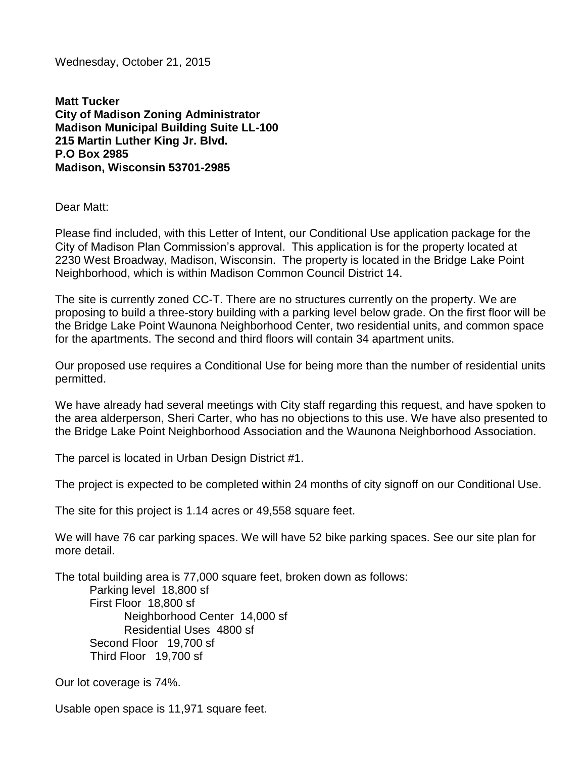Wednesday, October 21, 2015

**Matt Tucker City of Madison Zoning Administrator Madison Municipal Building Suite LL-100 215 Martin Luther King Jr. Blvd. P.O Box 2985 Madison, Wisconsin 53701-2985**

Dear Matt:

Please find included, with this Letter of Intent, our Conditional Use application package for the City of Madison Plan Commission's approval. This application is for the property located at 2230 West Broadway, Madison, Wisconsin. The property is located in the Bridge Lake Point Neighborhood, which is within Madison Common Council District 14.

The site is currently zoned CC-T. There are no structures currently on the property. We are proposing to build a three-story building with a parking level below grade. On the first floor will be the Bridge Lake Point Waunona Neighborhood Center, two residential units, and common space for the apartments. The second and third floors will contain 34 apartment units.

Our proposed use requires a Conditional Use for being more than the number of residential units permitted.

We have already had several meetings with City staff regarding this request, and have spoken to the area alderperson, Sheri Carter, who has no objections to this use. We have also presented to the Bridge Lake Point Neighborhood Association and the Waunona Neighborhood Association.

The parcel is located in Urban Design District #1.

The project is expected to be completed within 24 months of city signoff on our Conditional Use.

The site for this project is 1.14 acres or 49,558 square feet.

We will have 76 car parking spaces. We will have 52 bike parking spaces. See our site plan for more detail.

The total building area is 77,000 square feet, broken down as follows: Parking level 18,800 sf First Floor 18,800 sf Neighborhood Center 14,000 sf Residential Uses 4800 sf Second Floor 19,700 sf Third Floor 19,700 sf

Our lot coverage is 74%.

Usable open space is 11,971 square feet.